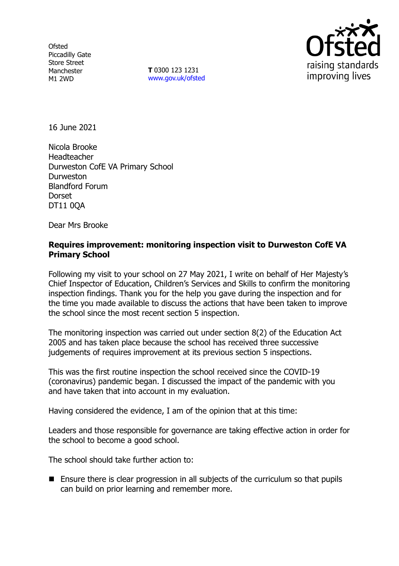**Ofsted** Piccadilly Gate Store Street Manchester M1 2WD

**T** 0300 123 1231 [www.gov.uk/ofsted](http://www.gov.uk/ofsted)



16 June 2021

Nicola Brooke Headteacher Durweston CofE VA Primary School Durweston Blandford Forum **Dorset** DT11 0QA

Dear Mrs Brooke

### **Requires improvement: monitoring inspection visit to Durweston CofE VA Primary School**

Following my visit to your school on 27 May 2021, I write on behalf of Her Majesty's Chief Inspector of Education, Children's Services and Skills to confirm the monitoring inspection findings. Thank you for the help you gave during the inspection and for the time you made available to discuss the actions that have been taken to improve the school since the most recent section 5 inspection.

The monitoring inspection was carried out under section 8(2) of the Education Act 2005 and has taken place because the school has received three successive judgements of requires improvement at its previous section 5 inspections.

This was the first routine inspection the school received since the COVID-19 (coronavirus) pandemic began. I discussed the impact of the pandemic with you and have taken that into account in my evaluation.

Having considered the evidence, I am of the opinion that at this time:

Leaders and those responsible for governance are taking effective action in order for the school to become a good school.

The school should take further action to:

■ Ensure there is clear progression in all subjects of the curriculum so that pupils can build on prior learning and remember more.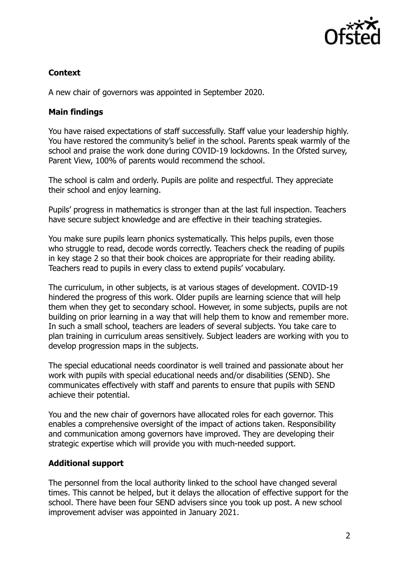

# **Context**

A new chair of governors was appointed in September 2020.

## **Main findings**

You have raised expectations of staff successfully. Staff value your leadership highly. You have restored the community's belief in the school. Parents speak warmly of the school and praise the work done during COVID-19 lockdowns. In the Ofsted survey, Parent View, 100% of parents would recommend the school.

The school is calm and orderly. Pupils are polite and respectful. They appreciate their school and enjoy learning.

Pupils' progress in mathematics is stronger than at the last full inspection. Teachers have secure subject knowledge and are effective in their teaching strategies.

You make sure pupils learn phonics systematically. This helps pupils, even those who struggle to read, decode words correctly. Teachers check the reading of pupils in key stage 2 so that their book choices are appropriate for their reading ability. Teachers read to pupils in every class to extend pupils' vocabulary.

The curriculum, in other subjects, is at various stages of development. COVID-19 hindered the progress of this work. Older pupils are learning science that will help them when they get to secondary school. However, in some subjects, pupils are not building on prior learning in a way that will help them to know and remember more. In such a small school, teachers are leaders of several subjects. You take care to plan training in curriculum areas sensitively. Subject leaders are working with you to develop progression maps in the subjects.

The special educational needs coordinator is well trained and passionate about her work with pupils with special educational needs and/or disabilities (SEND). She communicates effectively with staff and parents to ensure that pupils with SEND achieve their potential.

You and the new chair of governors have allocated roles for each governor. This enables a comprehensive oversight of the impact of actions taken. Responsibility and communication among governors have improved. They are developing their strategic expertise which will provide you with much-needed support.

### **Additional support**

The personnel from the local authority linked to the school have changed several times. This cannot be helped, but it delays the allocation of effective support for the school. There have been four SEND advisers since you took up post. A new school improvement adviser was appointed in January 2021.